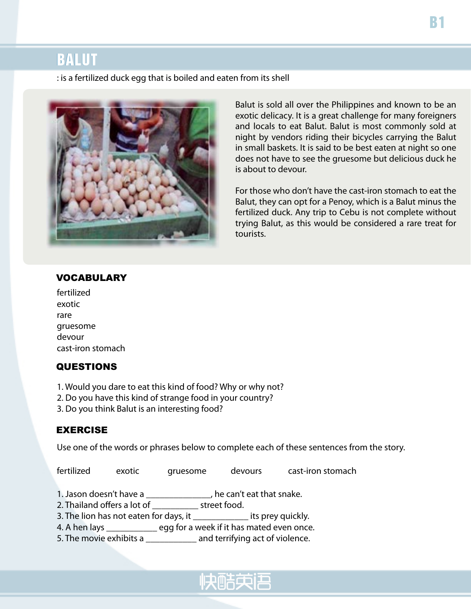## BALUT

: is a fertilized duck egg that is boiled and eaten from its shell



Balut is sold all over the Philippines and known to be an exotic delicacy. It is a great challenge for many foreigners and locals to eat Balut. Balut is most commonly sold at night by vendors riding their bicycles carrying the Balut in small baskets. It is said to be best eaten at night so one does not have to see the gruesome but delicious duck he is about to devour.

For those who don't have the cast-iron stomach to eat the Balut, they can opt for a Penoy, which is a Balut minus the fertilized duck. Any trip to Cebu is not complete without trying Balut, as this would be considered a rare treat for tourists.

#### VOCABULARY

| fertilized        |
|-------------------|
| exotic            |
| rare              |
| gruesome          |
| devour            |
| cast-iron stomach |

#### **QUESTIONS**

- 1. Would you dare to eat this kind of food? Why or why not?
- 2. Do you have this kind of strange food in your country?
- 3. Do you think Balut is an interesting food?

#### EXERCISE

Use one of the words or phrases below to complete each of these sentences from the story.

fertilized exotic gruesome devours cast-iron stomach

1. Jason doesn't have a \_\_\_\_\_\_\_\_\_\_\_\_\_\_, he can't eat that snake.

2. Thailand offers a lot of \_\_\_\_\_\_\_\_\_\_ street food.

3. The lion has not eaten for days, it \_\_\_\_\_\_\_\_\_\_\_\_ its prey quickly.

4. A hen lays \_\_\_\_\_\_\_\_\_\_\_ egg for a week if it has mated even once.

5. The movie exhibits a \_\_\_\_\_\_\_\_\_\_\_\_ and terrifying act of violence.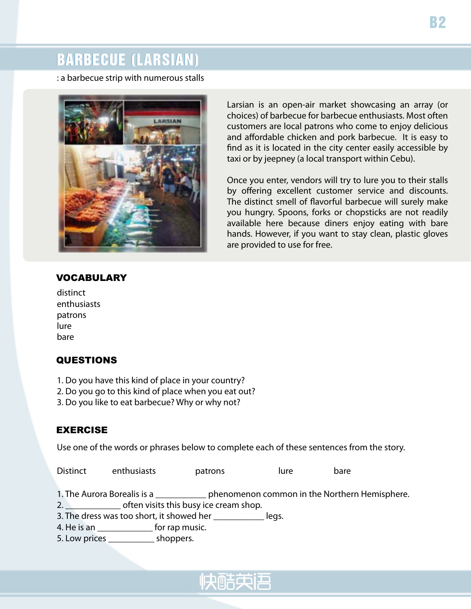# BARBECUE (LARSIAN)

: a barbecue strip with numerous stalls



VOCABULARY

Larsian is an open-air market showcasing an array (or choices) of barbecue for barbecue enthusiasts. Most often customers are local patrons who come to enjoy delicious and affordable chicken and pork barbecue. It is easy to find as it is located in the city center easily accessible by taxi or by jeepney (a local transport within Cebu).

Once you enter, vendors will try to lure you to their stalls by offering excellent customer service and discounts. The distinct smell of flavorful barbecue will surely make you hungry. Spoons, forks or chopsticks are not readily available here because diners enjoy eating with bare hands. However, if you want to stay clean, plastic gloves are provided to use for free.

| distinct    |
|-------------|
| enthusiasts |
| patrons     |
| lure        |
| bare        |

## **QUESTIONS**

- 1. Do you have this kind of place in your country?
- 2. Do you go to this kind of place when you eat out?
- 3. Do you like to eat barbecue? Why or why not?

#### EXERCISE

Use one of the words or phrases below to complete each of these sentences from the story.

Distinct enthusiasts patrons lure bare

1. The Aurora Borealis is a \_\_\_\_\_\_\_\_\_\_\_ phenomenon common in the Northern Hemisphere.

2. **\_\_\_\_\_\_\_\_\_\_\_** often visits this busy ice cream shop.

3. The dress was too short, it showed her \_\_\_\_\_\_\_\_\_\_\_\_\_\_ legs.

4. He is an \_\_\_\_\_\_\_\_\_\_\_\_\_\_\_ for rap music.

5. Low prices \_\_\_\_\_\_\_\_\_\_ shoppers.

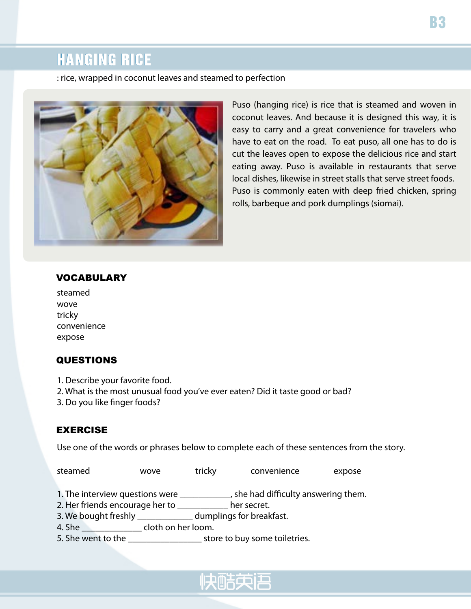# HANGING RICE

: rice, wrapped in coconut leaves and steamed to perfection



Puso (hanging rice) is rice that is steamed and woven in coconut leaves. And because it is designed this way, it is easy to carry and a great convenience for travelers who have to eat on the road. To eat puso, all one has to do is cut the leaves open to expose the delicious rice and start eating away. Puso is available in restaurants that serve local dishes, likewise in street stalls that serve street foods. Puso is commonly eaten with deep fried chicken, spring rolls, barbeque and pork dumplings (siomai).

#### VOCABULARY

| steamed     |
|-------------|
| wove        |
| tricky      |
| convenience |
| expose      |

## QUESTIONS

- 1. Describe your favorite food.
- 2. What is the most unusual food you've ever eaten? Did it taste good or bad?
- 3. Do you like finger foods?

#### EXERCISE

Use one of the words or phrases below to complete each of these sentences from the story.

steamed wove tricky convenience expose

- 1. The interview questions were \_\_\_\_\_\_\_\_\_\_\_, she had difficulty answering them.
- 2. Her friends encourage her to \_\_\_\_\_\_\_\_\_\_\_ her secret.
- 3. We bought freshly \_\_\_\_\_\_\_\_\_\_\_\_ dumplings for breakfast.
- 4. She \_\_\_\_\_\_\_\_\_\_\_\_\_\_\_\_\_\_ cloth on her loom.
- 5. She went to the \_\_\_\_\_\_\_\_\_\_\_\_\_\_\_\_\_\_\_\_\_ store to buy some toiletries.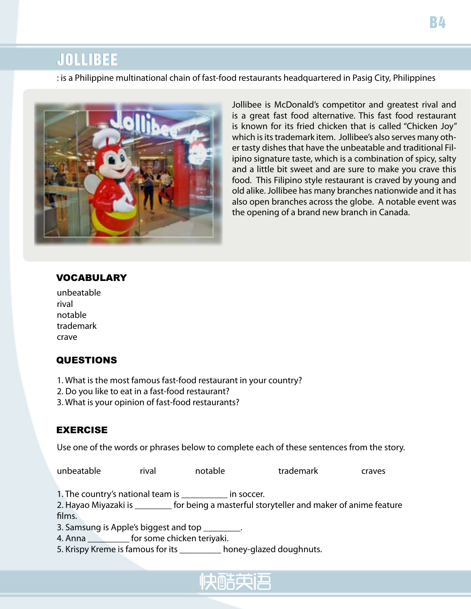## JOLLIBEE

: is a Philippine multinational chain of fast-food restaurants headquartered in Pasig City, Philippines



Jollibee is McDonald's competitor and greatest rival and is a great fast food alternative. This fast food restaurant is known for its fried chicken that is called "Chicken Joy" which is its trademark item. Jollibee's also serves many other tasty dishes that have the unbeatable and traditional Filipino signature taste, which is a combination of spicy, salty and a little bit sweet and are sure to make you crave this food. This Filipino style restaurant is craved by young and old alike. Jollibee has many branches nationwide and it has also open branches across the globe. A notable event was the opening of a brand new branch in Canada.

#### VOCABULARY

| unbeatable |
|------------|
| rival      |
| notable    |
| trademark  |
| crave      |

## QUESTIONS

- 1. What is the most famous fast-food restaurant in your country?
- 2. Do you like to eat in a fast-food restaurant?
- 3. What is your opinion of fast-food restaurants?

## EXERCISE

Use one of the words or phrases below to complete each of these sentences from the story.

unbeatable rival notable trademark craves

1. The country's national team is \_\_\_\_\_\_\_\_\_\_ in soccer.

2. Hayao Miyazaki is **the studie of the ing a masterful storyteller and maker of anime feature** films.

3. Samsung is Apple's biggest and top

4. Anna \_\_\_\_\_\_\_\_\_ for some chicken teriyaki.

5. Krispy Kreme is famous for its \_\_\_\_\_\_\_\_ honey-glazed doughnuts.